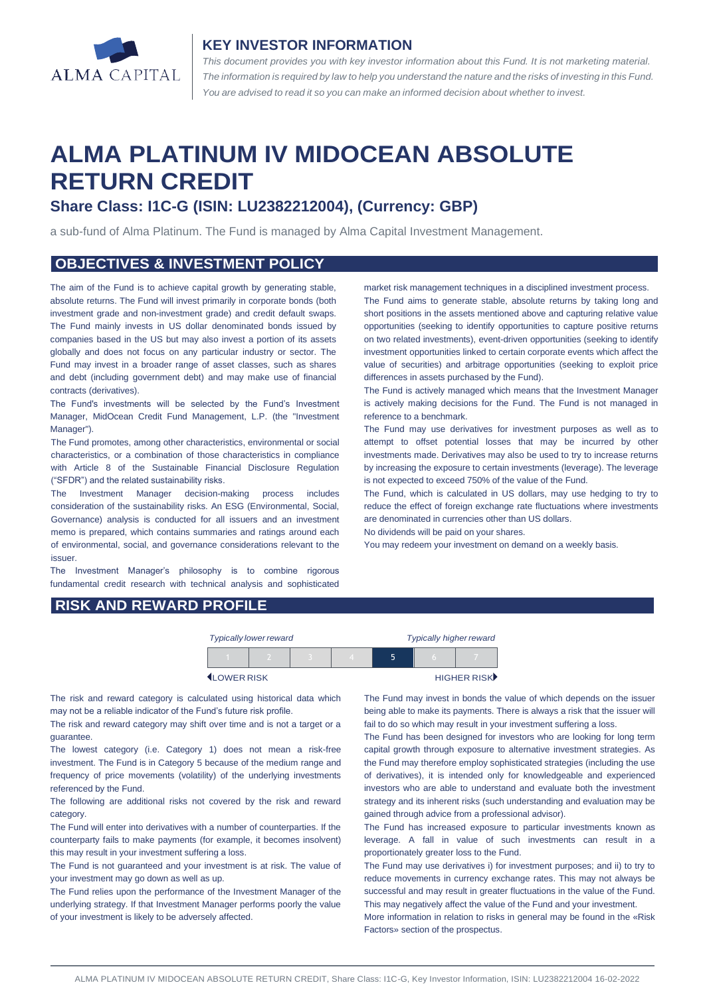

#### **KEY INVESTOR INFORMATION**

*This document provides you with key investor information about this Fund. It is not marketing material.*  The information is required by law to help you understand the nature and the risks of investing in this Fund. *You are advised to read it so you can make an informed decision about whether to invest.*

# **ALMA PLATINUM IV MIDOCEAN ABSOLUTE RETURN CREDIT**

## **Share Class: I1C-G (ISIN: LU2382212004), (Currency: GBP)**

a sub-fund of Alma Platinum. The Fund is managed by Alma Capital Investment Management.

### **OBJECTIVES & INVESTMENT POLICY**

The aim of the Fund is to achieve capital growth by generating stable, absolute returns. The Fund will invest primarily in corporate bonds (both investment grade and non-investment grade) and credit default swaps. The Fund mainly invests in US dollar denominated bonds issued by companies based in the US but may also invest a portion of its assets globally and does not focus on any particular industry or sector. The Fund may invest in a broader range of asset classes, such as shares and debt (including government debt) and may make use of financial contracts (derivatives).

The Fund's investments will be selected by the Fund's Investment Manager, MidOcean Credit Fund Management, L.P. (the "Investment Manager").

The Fund promotes, among other characteristics, environmental or social characteristics, or a combination of those characteristics in compliance with Article 8 of the Sustainable Financial Disclosure Regulation ("SFDR") and the related sustainability risks.

The Investment Manager decision-making process includes consideration of the sustainability risks. An ESG (Environmental, Social, Governance) analysis is conducted for all issuers and an investment memo is prepared, which contains summaries and ratings around each of environmental, social, and governance considerations relevant to the issuer.

The Investment Manager's philosophy is to combine rigorous fundamental credit research with technical analysis and sophisticated market risk management techniques in a disciplined investment process. The Fund aims to generate stable, absolute returns by taking long and short positions in the assets mentioned above and capturing relative value opportunities (seeking to identify opportunities to capture positive returns on two related investments), event-driven opportunities (seeking to identify investment opportunities linked to certain corporate events which affect the value of securities) and arbitrage opportunities (seeking to exploit price differences in assets purchased by the Fund).

The Fund is actively managed which means that the Investment Manager is actively making decisions for the Fund. The Fund is not managed in reference to a benchmark.

The Fund may use derivatives for investment purposes as well as to attempt to offset potential losses that may be incurred by other investments made. Derivatives may also be used to try to increase returns by increasing the exposure to certain investments (leverage). The leverage is not expected to exceed 750% of the value of the Fund.

The Fund, which is calculated in US dollars, may use hedging to try to reduce the effect of foreign exchange rate fluctuations where investments are denominated in currencies other than US dollars.

No dividends will be paid on your shares.

You may redeem your investment on demand on a weekly basis.

## **RISK AND REWARD PROFILE**

| <b>Typically lower reward</b> |  |  | <b>Typically higher reward</b> |   |  |             |
|-------------------------------|--|--|--------------------------------|---|--|-------------|
|                               |  |  |                                | ь |  |             |
| LOWER RISK                    |  |  |                                |   |  | HIGHER RISK |

The risk and reward category is calculated using historical data which may not be a reliable indicator of the Fund's future risk profile.

The risk and reward category may shift over time and is not a target or a guarantee.

The lowest category (i.e. Category 1) does not mean a risk-free investment. The Fund is in Category 5 because of the medium range and frequency of price movements (volatility) of the underlying investments referenced by the Fund.

The following are additional risks not covered by the risk and reward category.

The Fund will enter into derivatives with a number of counterparties. If the counterparty fails to make payments (for example, it becomes insolvent) this may result in your investment suffering a loss.

The Fund is not guaranteed and your investment is at risk. The value of your investment may go down as well as up.

The Fund relies upon the performance of the Investment Manager of the underlying strategy. If that Investment Manager performs poorly the value of your investment is likely to be adversely affected.

The Fund may invest in bonds the value of which depends on the issuer being able to make its payments. There is always a risk that the issuer will fail to do so which may result in your investment suffering a loss.

The Fund has been designed for investors who are looking for long term capital growth through exposure to alternative investment strategies. As the Fund may therefore employ sophisticated strategies (including the use of derivatives), it is intended only for knowledgeable and experienced investors who are able to understand and evaluate both the investment strategy and its inherent risks (such understanding and evaluation may be gained through advice from a professional advisor).

The Fund has increased exposure to particular investments known as leverage. A fall in value of such investments can result in a proportionately greater loss to the Fund.

The Fund may use derivatives i) for investment purposes; and ii) to try to reduce movements in currency exchange rates. This may not always be successful and may result in greater fluctuations in the value of the Fund. This may negatively affect the value of the Fund and your investment.

More information in relation to risks in general may be found in the «Risk Factors» section of the prospectus.